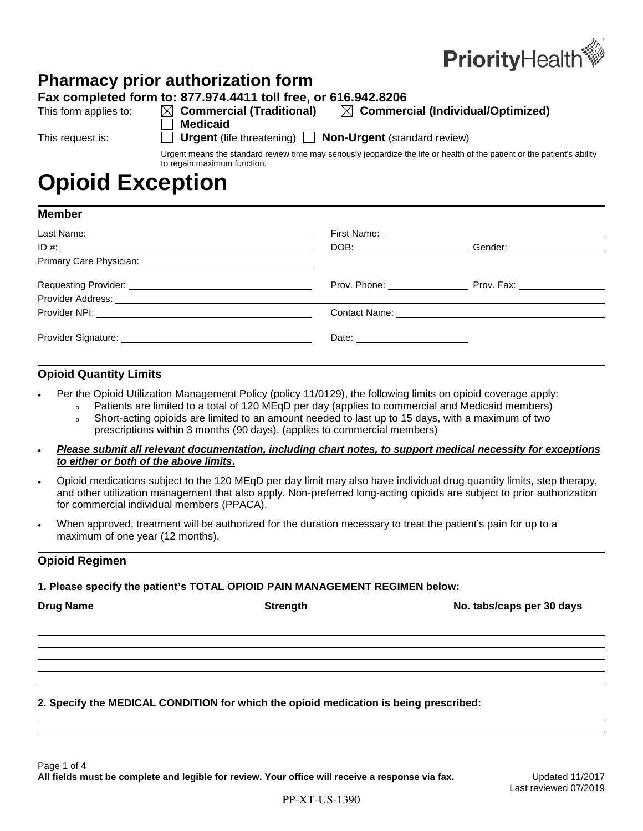

## **Pharmacy prior authorization form**

**Fax completed form to: 877.974.4411 toll free, or 616.942.8206**

- **Medicaid**
- This form applies to:  $\boxtimes$  **Commercial (Traditional)**  $\boxtimes$  **Commercial (Individual/Optimized)**

This request is: **If Urgent** (life threatening) **Non-Urgent** (standard review)

Urgent means the standard review time may seriously jeopardize the life or health of the patient or the patient's ability to regain maximum function.

# **Opioid Exception**

| <b>Member</b> |  |
|---------------|--|
|---------------|--|

|                                     | DOB: Gender: Communications of Communications of Communications of Communications of Communications of Communications of Communications of Communications of Communications of Communications of Communications of Communicati |
|-------------------------------------|--------------------------------------------------------------------------------------------------------------------------------------------------------------------------------------------------------------------------------|
|                                     |                                                                                                                                                                                                                                |
|                                     | Prov. Phone: Prov. Fax:                                                                                                                                                                                                        |
|                                     |                                                                                                                                                                                                                                |
|                                     |                                                                                                                                                                                                                                |
| Date: <u>______________________</u> |                                                                                                                                                                                                                                |

### **Opioid Quantity Limits**

- Per the Opioid Utilization Management Policy (policy 11/0129), the following limits on opioid coverage apply:
	- Patients are limited to a total of 120 MEqD per day (applies to commercial and Medicaid members)
	- o Short-acting opioids are limited to an amount needed to last up to 15 days, with a maximum of two prescriptions within 3 months (90 days). (applies to commercial members)
- *Please submit all relevant documentation, including chart notes, to support medical necessity for exceptions to either or both of the above limits***.**
- Opioid medications subject to the 120 MEqD per day limit may also have individual drug quantity limits, step therapy, and other utilization management that also apply. Non-preferred long-acting opioids are subject to prior authorization for commercial individual members (PPACA).
- When approved, treatment will be authorized for the duration necessary to treat the patient's pain for up to a maximum of one year (12 months).

### **Opioid Regimen**

### **1. Please specify the patient's TOTAL OPIOID PAIN MANAGEMENT REGIMEN below:**

| <b>Drug Name</b> | <b>Strength</b> | No. tabs/caps per 30 days |
|------------------|-----------------|---------------------------|
|                  |                 |                           |
|                  |                 |                           |

### **2. Specify the MEDICAL CONDITION for which the opioid medication is being prescribed:**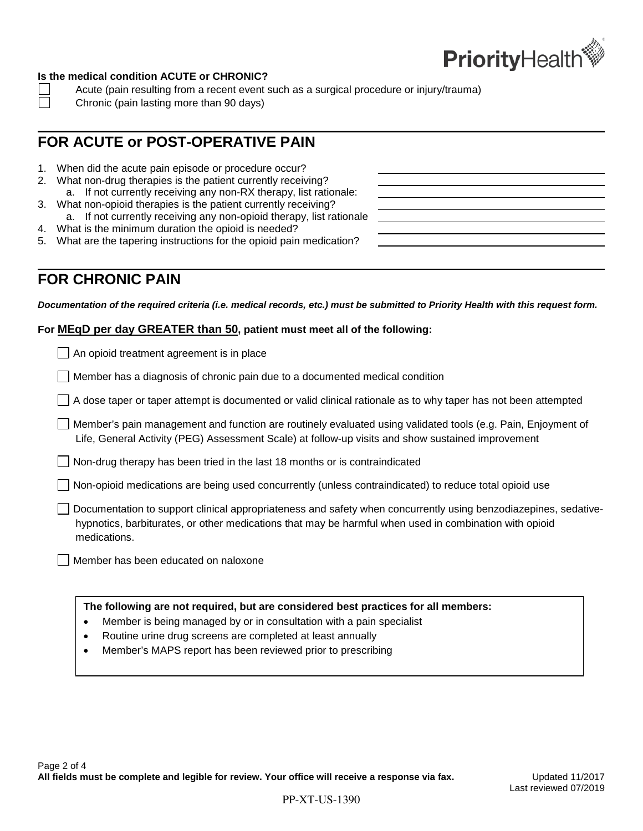

### **Is the medical condition ACUTE or CHRONIC?**

- Acute (pain resulting from a recent event such as a surgical procedure or injury/trauma)
- Chronic (pain lasting more than 90 days)

### **FOR ACUTE or POST-OPERATIVE PAIN**

- 1. When did the acute pain episode or procedure occur?
- 2. What non-drug therapies is the patient currently receiving? a. If not currently receiving any non-RX therapy, list rationale:
- 3. What non-opioid therapies is the patient currently receiving? a. If not currently receiving any non-opioid therapy, list rationale
- 4. What is the minimum duration the opioid is needed?
- 5. What are the tapering instructions for the opioid pain medication?

### **FOR CHRONIC PAIN**

*Documentation of the required criteria (i.e. medical records, etc.) must be submitted to Priority Health with this request form.*

#### **For MEqD per day GREATER than 50, patient must meet all of the following:**

| $\Box$ An opioid treatment agreement is in place                                                                                                                                                                                          |  |
|-------------------------------------------------------------------------------------------------------------------------------------------------------------------------------------------------------------------------------------------|--|
| Member has a diagnosis of chronic pain due to a documented medical condition                                                                                                                                                              |  |
| $\Box$ A dose taper or taper attempt is documented or valid clinical rationale as to why taper has not been attempted                                                                                                                     |  |
| Member's pain management and function are routinely evaluated using validated tools (e.g. Pain, Enjoyment of<br>Life, General Activity (PEG) Assessment Scale) at follow-up visits and show sustained improvement                         |  |
| $\Box$ Non-drug therapy has been tried in the last 18 months or is contraindicated                                                                                                                                                        |  |
| $\Box$ Non-opioid medications are being used concurrently (unless contraindicated) to reduce total opioid use                                                                                                                             |  |
| Documentation to support clinical appropriateness and safety when concurrently using benzodiazepines, sedative-<br>hypnotics, barbiturates, or other medications that may be harmful when used in combination with opioid<br>medications. |  |
| Member has been educated on naloxone                                                                                                                                                                                                      |  |
| The following are not required, but are considered best practices for all members:<br>Member is being managed by or in consultation with a pain specialist                                                                                |  |

- Routine urine drug screens are completed at least annually
- Member's MAPS report has been reviewed prior to prescribing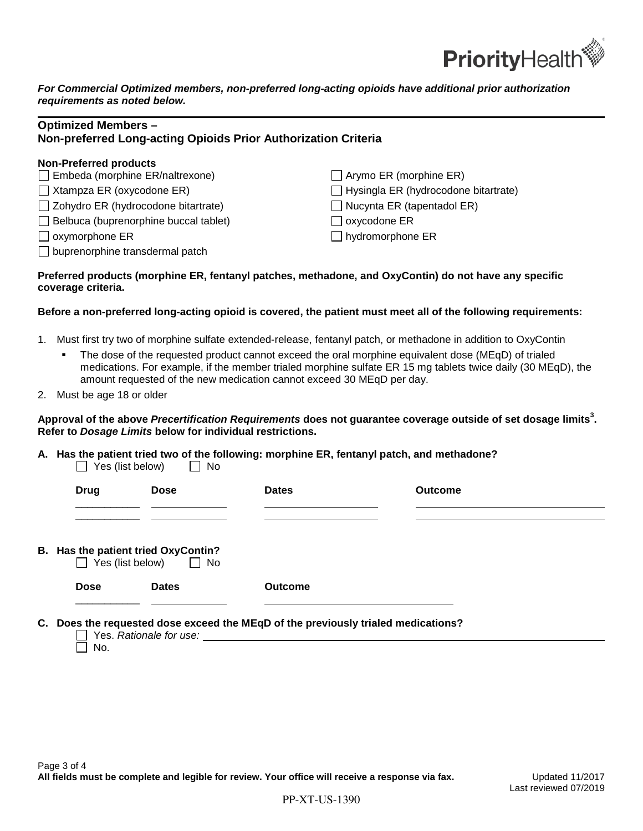

*For Commercial Optimized members, non-preferred long-acting opioids have additional prior authorization requirements as noted below.*

| <b>Optimized Members -</b><br>Non-preferred Long-acting Opioids Prior Authorization Criteria |                                             |  |
|----------------------------------------------------------------------------------------------|---------------------------------------------|--|
| <b>Non-Preferred products</b><br>$\Box$ Embeda (morphine ER/naltrexone)                      | $\Box$ Arymo ER (morphine ER)               |  |
|                                                                                              |                                             |  |
| $\Box$ Xtampza ER (oxycodone ER)                                                             | $\Box$ Hysingla ER (hydrocodone bitartrate) |  |
| $\Box$ Zohydro ER (hydrocodone bitartrate)                                                   | $\Box$ Nucynta ER (tapentadol ER)           |  |
| $\Box$ Belbuca (buprenorphine buccal tablet)                                                 | oxycodone ER                                |  |
| $\Box$ oxymorphone ER                                                                        | $\Box$ hydromorphone ER                     |  |
| $\Box$ buprenorphine transdermal patch                                                       |                                             |  |

#### **Preferred products (morphine ER, fentanyl patches, methadone, and OxyContin) do not have any specific coverage criteria.**

### **Before a non-preferred long-acting opioid is covered, the patient must meet all of the following requirements:**

- 1. Must first try two of morphine sulfate extended-release, fentanyl patch, or methadone in addition to OxyContin
	- The dose of the requested product cannot exceed the oral morphine equivalent dose (MEqD) of trialed medications. For example, if the member trialed morphine sulfate ER 15 mg tablets twice daily (30 MEqD), the amount requested of the new medication cannot exceed 30 MEqD per day.
- 2. Must be age 18 or older

### **Approval of the above** *Precertification Requirements* **does not guarantee coverage outside of set dosage limits<sup>3</sup> . Refer to** *Dosage Limits* **below for individual restrictions.**

**A. Has the patient tried two of the following: morphine ER, fentanyl patch, and methadone?**  $\Box$  Yes (list below)

| <b>Dates</b>   | <b>Outcome</b> |  |
|----------------|----------------|--|
|                |                |  |
| <b>Outcome</b> |                |  |
|                |                |  |

**C. Does the requested dose exceed the MEqD of the previously trialed medications?**

Yes. *Rationale for use:*   $\Box$  No.